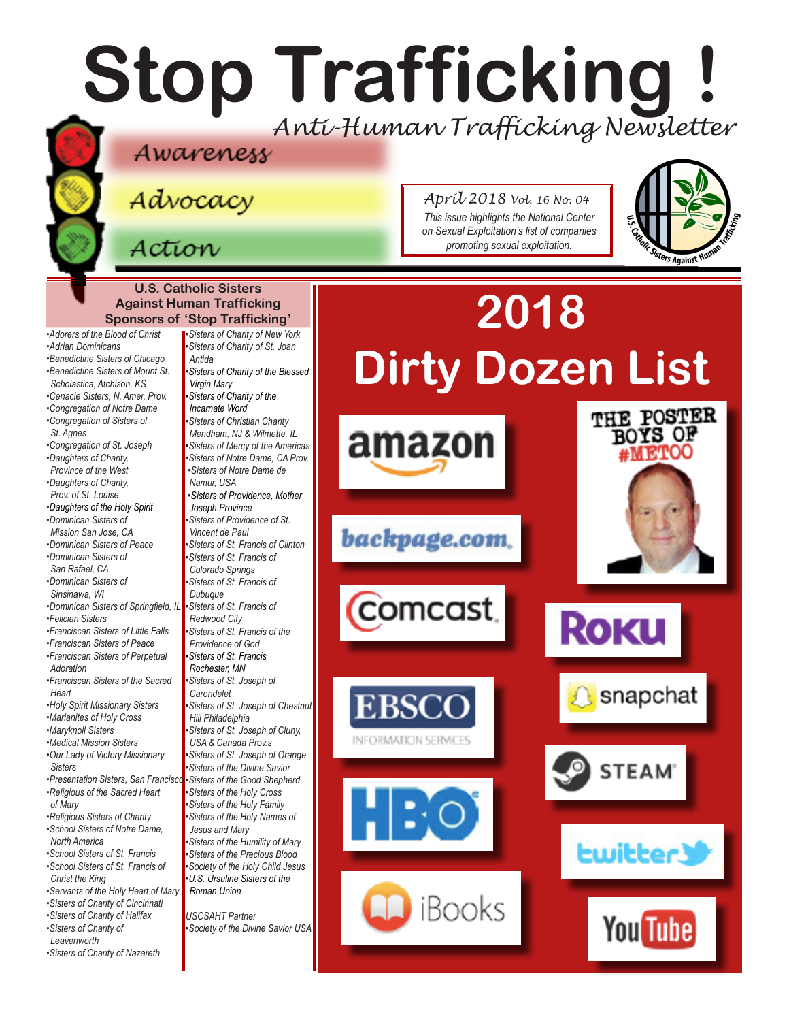## **Stop Trafficking !** *Anti-Human Trafficking Newsletter*

## Awareness

Advocacy

### Action

*•Adrian Dominicans*

*St. Agnes* 

*•Daughters of Charity, Province of the West •Daughters of Charity, Prov. of St. Louise*

*•Dominican Sisters of Mission San Jose, CA* 

*•Dominican Sisters of San Rafael, CA •Dominican Sisters of Sinsinawa, WI* 

*•Felician Sisters* 

*Adoration*

*•Maryknoll Sisters* 

*Heart*

*Sisters* 

*of Mary* 

*North America* 

*Christ the King* 

*•Sisters of Charity of Leavenworth*

*April 2018 Vol. 16 No. 04 This issue highlights the National Center on Sexual Exploitation's list of companies promoting sexual exploitation.*



**U.S. Catholic Sisters Against Human Trafficking Sponsors of 'Stop Trafficking'** *•Adorers of the Blood of Christ •Benedictine Sisters of Chicago •Benedictine Sisters of Mount St. Scholastica, Atchison, KS •Cenacle Sisters, N. Amer. Prov. •Congregation of Notre Dame •Congregation of Sisters of •Congregation of St. Joseph •Daughters of the Holy Spirit •Dominican Sisters of Peace •Dominican Sisters of Springfield, IL •Franciscan Sisters of Little Falls •Franciscan Sisters of Peace •Franciscan Sisters of Perpetual •Franciscan Sisters of the Sacred •Holy Spirit Missionary Sisters •Marianites of Holy Cross •Medical Mission Sisters •Our Lady of Victory Missionary •Presentation Sisters, San Francisco •Religious of the Sacred Heart •Religious Sisters of Charity •School Sisters of Notre Dame, •School Sisters of St. Francis •School Sisters of St. Francis of •Servants of the Holy Heart of Mary •Sisters of Charity of Cincinnati •Sisters of Charity of Halifax •Sisters of Charity of Nazareth •Sisters of Charity of New York •Sisters of Charity of St. Joan Antida •Sisters of Charity of the Blessed Virgin Mary •Sisters of Charity of the Incarnate Word •Sisters of Christian Charity Mendham, NJ & Wilmette, IL •Sisters of Mercy of the Americas •Sisters of Notre Dame, CA Prov. •Sisters of Notre Dame de Namur, USA •Sisters of Providence, Mother Joseph Province •Sisters of Providence of St. Vincent de Paul •Sisters of St. Francis of Clinton •Sisters of St. Francis of Colorado Springs •Sisters of St. Francis of Dubuque •Sisters of St. Francis of Redwood City •Sisters of St. Francis of the Providence of God •Sisters of St. Francis Rochester, MN •Sisters of St. Joseph of Carondelet •Sisters of St. Joseph of Chestnut Hill Philadelphia •Sisters of St. Joseph of Cluny, USA & Canada Prov.s •Sisters of St. Joseph of Orange •Sisters of the Divine Savior •Sisters of the Good Shepherd •Sisters of the Holy Cross •Sisters of the Holy Family •Sisters of the Holy Names of Jesus and Mary •Sisters of the Humility of Mary •Sisters of the Precious Blood •Society of the Holy Child Jesus •U.S. Ursuline Sisters of the Roman Union USCSAHT Partner •Society of the Divine Savior USA*

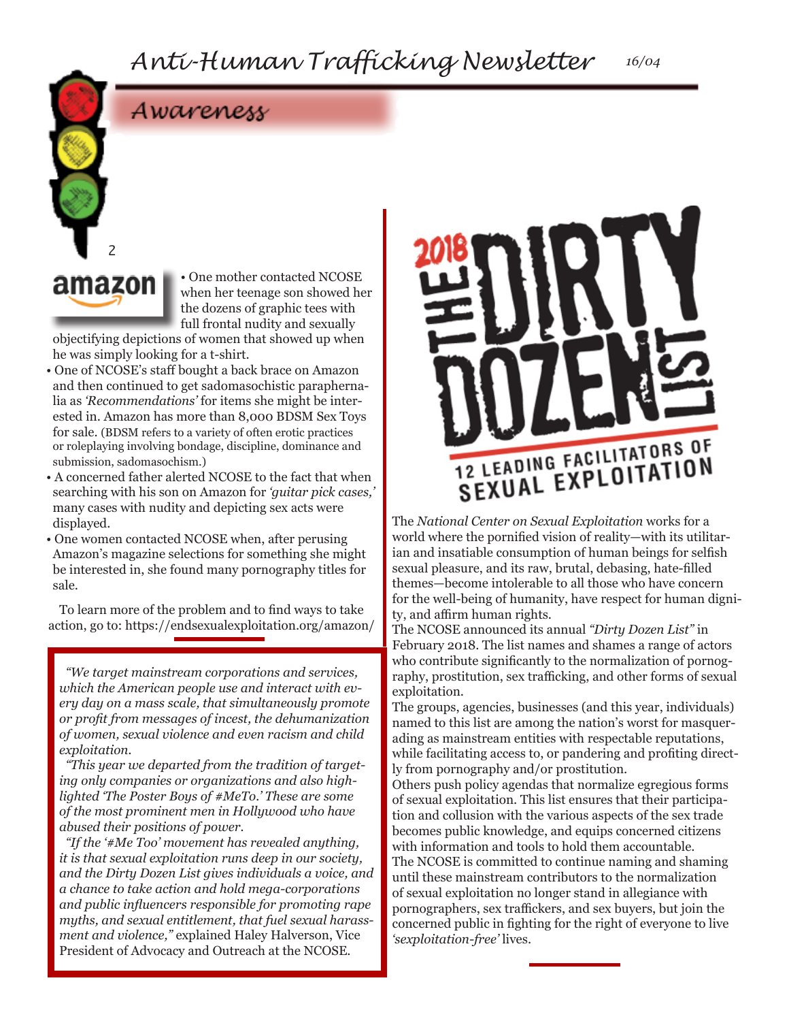### Awareness

# amazon

2

• One mother contacted NCOSE when her teenage son showed her the dozens of graphic tees with full frontal nudity and sexually

objectifying depictions of women that showed up when he was simply looking for a t-shirt.

- One of NCOSE's staff bought a back brace on Amazon and then continued to get sadomasochistic paraphernalia as *'Recommendations'* for items she might be interested in. Amazon has more than 8,000 BDSM Sex Toys for sale. (BDSM refers to a variety of often erotic practices or roleplaying involving bondage, discipline, dominance and submission, sadomasochism.)
- A concerned father alerted NCOSE to the fact that when searching with his son on Amazon for *'guitar pick cases,'*  many cases with nudity and depicting sex acts were displayed.
- One women contacted NCOSE when, after perusing Amazon's magazine selections for something she might be interested in, she found many pornography titles for sale.

To learn more of the problem and to find ways to take action, go to: https://endsexualexploitation.org/amazon/

*"We target mainstream corporations and services, which the American people use and interact with every day on a mass scale, that simultaneously promote or profit from messages of incest, the dehumanization of women, sexual violence and even racism and child exploitation.* 

*"This year we departed from the tradition of targeting only companies or organizations and also highlighted 'The Poster Boys of #MeTo.' These are some of the most prominent men in Hollywood who have abused their positions of power.* 

*"If the '#Me Too' movement has revealed anything, it is that sexual exploitation runs deep in our society, and the Dirty Dozen List gives individuals a voice, and a chance to take action and hold mega-corporations and public influencers responsible for promoting rape myths, and sexual entitlement, that fuel sexual harassment and violence,"* explained Haley Halverson, Vice President of Advocacy and Outreach at the NCOSE.



The *National Center on Sexual Exploitation* works for a world where the pornified vision of reality—with its utilitarian and insatiable consumption of human beings for selfish sexual pleasure, and its raw, brutal, debasing, hate-filled themes—become intolerable to all those who have concern for the well-being of humanity, have respect for human dignity, and affirm human rights.

The NCOSE announced its annual *"Dirty Dozen List"* in February 2018. The list names and shames a range of actors who contribute significantly to the normalization of pornography, prostitution, sex trafficking, and other forms of sexual exploitation.

The groups, agencies, businesses (and this year, individuals) named to this list are among the nation's worst for masquerading as mainstream entities with respectable reputations, while facilitating access to, or pandering and profiting directly from pornography and/or prostitution.

Others push policy agendas that normalize egregious forms of sexual exploitation. This list ensures that their participation and collusion with the various aspects of the sex trade becomes public knowledge, and equips concerned citizens with information and tools to hold them accountable. The NCOSE is committed to continue naming and shaming until these mainstream contributors to the normalization of sexual exploitation no longer stand in allegiance with pornographers, sex traffickers, and sex buyers, but join the concerned public in fighting for the right of everyone to live *'sexploitation-free'* lives.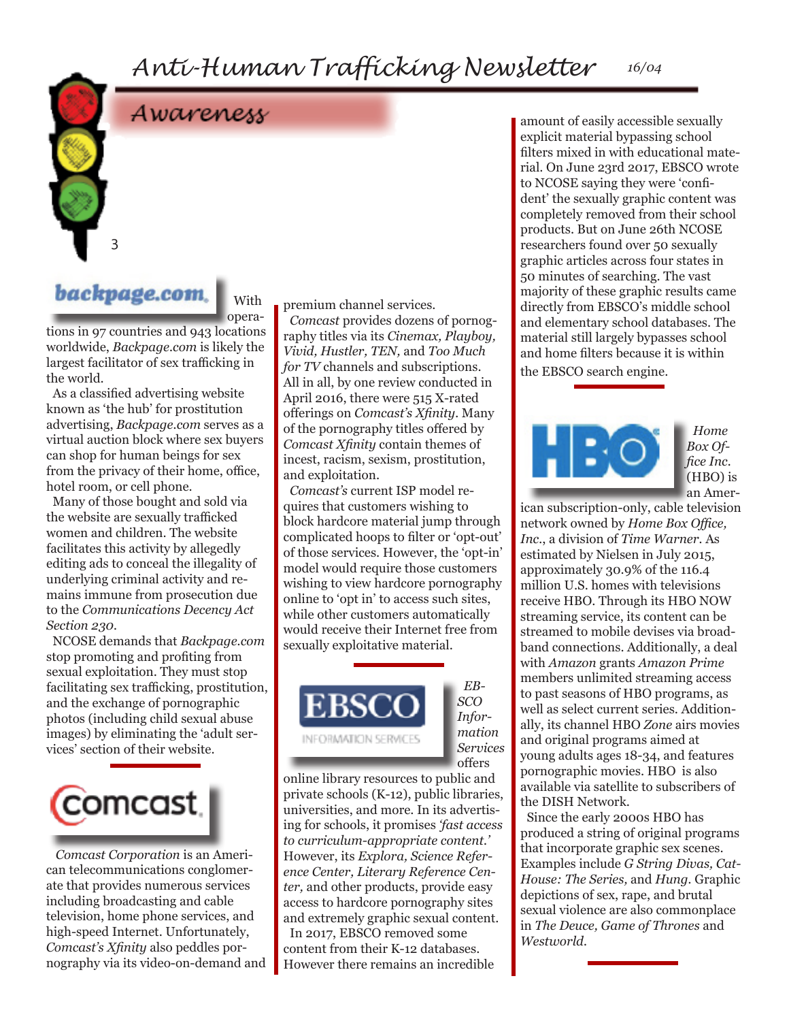*Anti-Human Trafficking Newsletter 16/04*

Awareness



With opera-

tions in 97 countries and 943 locations worldwide, *Backpage.com* is likely the largest facilitator of sex trafficking in the world.

As a classified advertising website known as 'the hub' for prostitution advertising, *Backpage.com* serves as a virtual auction block where sex buyers can shop for human beings for sex from the privacy of their home, office, hotel room, or cell phone.

Many of those bought and sold via the website are sexually trafficked women and children. The website facilitates this activity by allegedly editing ads to conceal the illegality of underlying criminal activity and remains immune from prosecution due to the *Communications Decency Act Section 230.*

NCOSE demands that *Backpage.com*  stop promoting and profiting from sexual exploitation. They must stop facilitating sex trafficking, prostitution, and the exchange of pornographic photos (including child sexual abuse images) by eliminating the 'adult services' section of their website.



*Comcast Corporation* is an American telecommunications conglomerate that provides numerous services including broadcasting and cable television, home phone services, and high-speed Internet. Unfortunately, *Comcast's Xfinity* also peddles pornography via its video-on-demand and premium channel services.

*Comcast* provides dozens of pornography titles via its *Cinemax, Playboy, Vivid, Hustler, TEN,* and *Too Much for TV* channels and subscriptions. All in all, by one review conducted in April 2016, there were 515 X-rated offerings on *Comcast's Xfinity.* Many of the pornography titles offered by *Comcast Xfinity* contain themes of incest, racism, sexism, prostitution, and exploitation.

*Comcast's* current ISP model requires that customers wishing to block hardcore material jump through complicated hoops to filter or 'opt-out' of those services. However, the 'opt-in' model would require those customers wishing to view hardcore pornography online to 'opt in' to access such sites, while other customers automatically would receive their Internet free from sexually exploitative material.



*EB-SCO Information Services* offers

online library resources to public and private schools (K-12), public libraries, universities, and more. In its advertising for schools, it promises *'fast access to curriculum-appropriate content.'*  However, its *Explora, Science Reference Center, Literary Reference Center,* and other products, provide easy access to hardcore pornography sites and extremely graphic sexual content.

In 2017, EBSCO removed some content from their K-12 databases. However there remains an incredible amount of easily accessible sexually explicit material bypassing school filters mixed in with educational material. On June 23rd 2017, EBSCO wrote to NCOSE saying they were 'confident' the sexually graphic content was completely removed from their school products. But on June 26th NCOSE researchers found over 50 sexually graphic articles across four states in 50 minutes of searching. The vast majority of these graphic results came directly from EBSCO's middle school and elementary school databases. The material still largely bypasses school and home filters because it is within the EBSCO search engine.



*Home Box Office Inc.* (HBO) is an Amer-

ican subscription-only, cable television network owned by *Home Box Office, Inc.*, a division of *Time Warner.* As estimated by Nielsen in July 2015, approximately 30.9% of the 116.4 million U.S. homes with televisions receive HBO. Through its HBO NOW streaming service, its content can be streamed to mobile devises via broadband connections. Additionally, a deal with *Amazon* grants *Amazon Prime*  members unlimited streaming access to past seasons of HBO programs, as well as select current series. Additionally, its channel HBO *Zone* airs movies and original programs aimed at young adults ages 18-34, and features pornographic movies. HBO is also available via satellite to subscribers of the DISH Network.

Since the early 2000s HBO has produced a string of original programs that incorporate graphic sex scenes. Examples include *G String Divas, Cat-House: The Series,* and *Hung.* Graphic depictions of sex, rape, and brutal sexual violence are also commonplace in *The Deuce, Game of Thrones* and *Westworld.*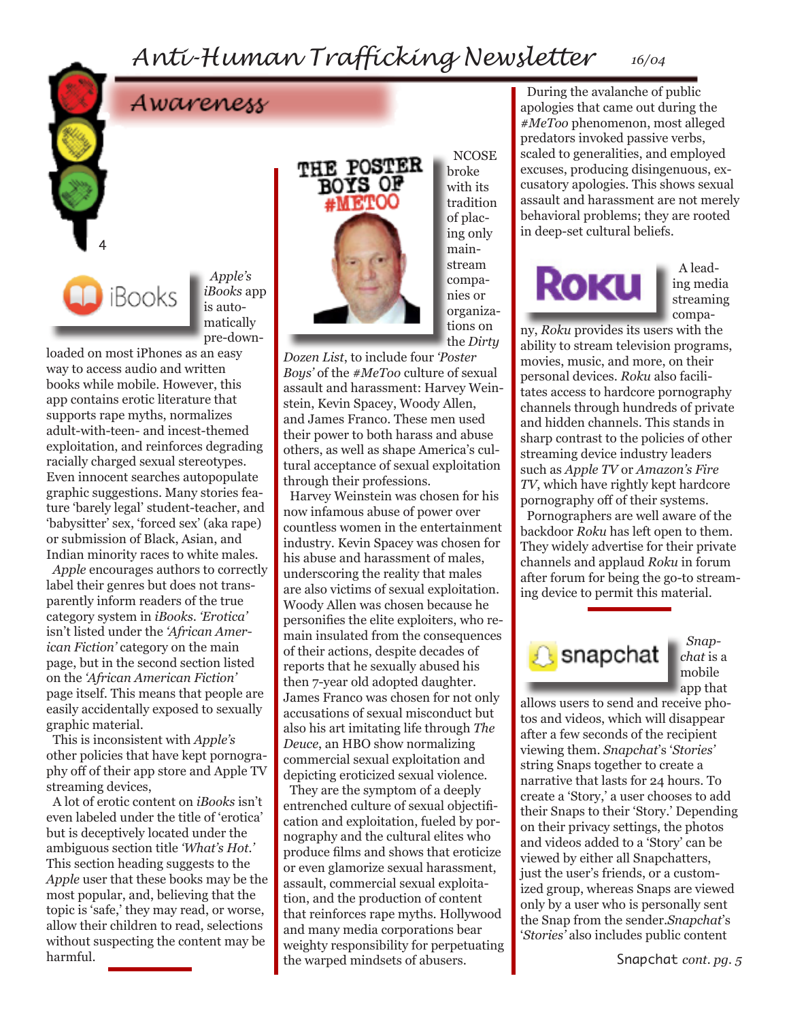## *Anti-Human Trafficking Newsletter 16/04*

## Awareness

*Apple's iBooks* app is automatically pre-down-

loaded on most iPhones as an easy way to access audio and written books while mobile. However, this app contains erotic literature that supports rape myths, normalizes adult-with-teen- and incest-themed exploitation, and reinforces degrading racially charged sexual stereotypes. Even innocent searches autopopulate graphic suggestions. Many stories feature 'barely legal' student-teacher, and 'babysitter' sex, 'forced sex' (aka rape) or submission of Black, Asian, and Indian minority races to white males.

iBooks

4

*Apple* encourages authors to correctly label their genres but does not transparently inform readers of the true category system in *iBooks*. *'Erotica'* isn't listed under the *'African American Fiction'* category on the main page, but in the second section listed on the *'African American Fiction'*  page itself. This means that people are easily accidentally exposed to sexually graphic material.

This is inconsistent with *Apple's*  other policies that have kept pornography off of their app store and Apple TV streaming devices,

A lot of erotic content on *iBooks* isn't even labeled under the title of 'erotica' but is deceptively located under the ambiguous section title *'What's Hot.'*  This section heading suggests to the *Apple* user that these books may be the most popular, and, believing that the topic is 'safe,' they may read, or worse, allow their children to read, selections without suspecting the content may be harmful.



**NCOSE** broke with its tradition of placing only mainstream companies or organizations on the *Dirty* 

*Dozen List*, to include four *'Poster Boys'* of the *#MeToo* culture of sexual assault and harassment: Harvey Weinstein, Kevin Spacey, Woody Allen, and James Franco. These men used their power to both harass and abuse others, as well as shape America's cultural acceptance of sexual exploitation through their professions.

Harvey Weinstein was chosen for his now infamous abuse of power over countless women in the entertainment industry. Kevin Spacey was chosen for his abuse and harassment of males, underscoring the reality that males are also victims of sexual exploitation. Woody Allen was chosen because he personifies the elite exploiters, who remain insulated from the consequences of their actions, despite decades of reports that he sexually abused his then 7-year old adopted daughter. James Franco was chosen for not only accusations of sexual misconduct but also his art imitating life through *The Deuce*, an HBO show normalizing commercial sexual exploitation and depicting eroticized sexual violence.

They are the symptom of a deeply entrenched culture of sexual objectification and exploitation, fueled by pornography and the cultural elites who produce films and shows that eroticize or even glamorize sexual harassment, assault, commercial sexual exploitation, and the production of content that reinforces rape myths. Hollywood and many media corporations bear weighty responsibility for perpetuating the warped mindsets of abusers.

During the avalanche of public apologies that came out during the *#MeToo* phenomenon, most alleged predators invoked passive verbs, scaled to generalities, and employed excuses, producing disingenuous, excusatory apologies. This shows sexual assault and harassment are not merely behavioral problems; they are rooted in deep-set cultural beliefs.

# **ROKU**

A leading media streaming compa-

ny, *Roku* provides its users with the ability to stream television programs, movies, music, and more, on their personal devices. *Roku* also facilitates access to hardcore pornography channels through hundreds of private and hidden channels. This stands in sharp contrast to the policies of other streaming device industry leaders such as *Apple TV* or *Amazon's Fire TV*, which have rightly kept hardcore pornography off of their systems.

Pornographers are well aware of the backdoor *Roku* has left open to them. They widely advertise for their private channels and applaud *Roku* in forum after forum for being the go-to streaming device to permit this material.



*Snap*mobile app that

allows users to send and receive photos and videos, which will disappear after a few seconds of the recipient viewing them. *Snapchat*'s '*Stories'* string Snaps together to create a narrative that lasts for 24 hours. To create a 'Story,' a user chooses to add their Snaps to their 'Story.' Depending on their privacy settings, the photos and videos added to a 'Story' can be viewed by either all Snapchatters, just the user's friends, or a customized group, whereas Snaps are viewed only by a user who is personally sent the Snap from the sender.*Snapchat*'s '*Stories'* also includes public content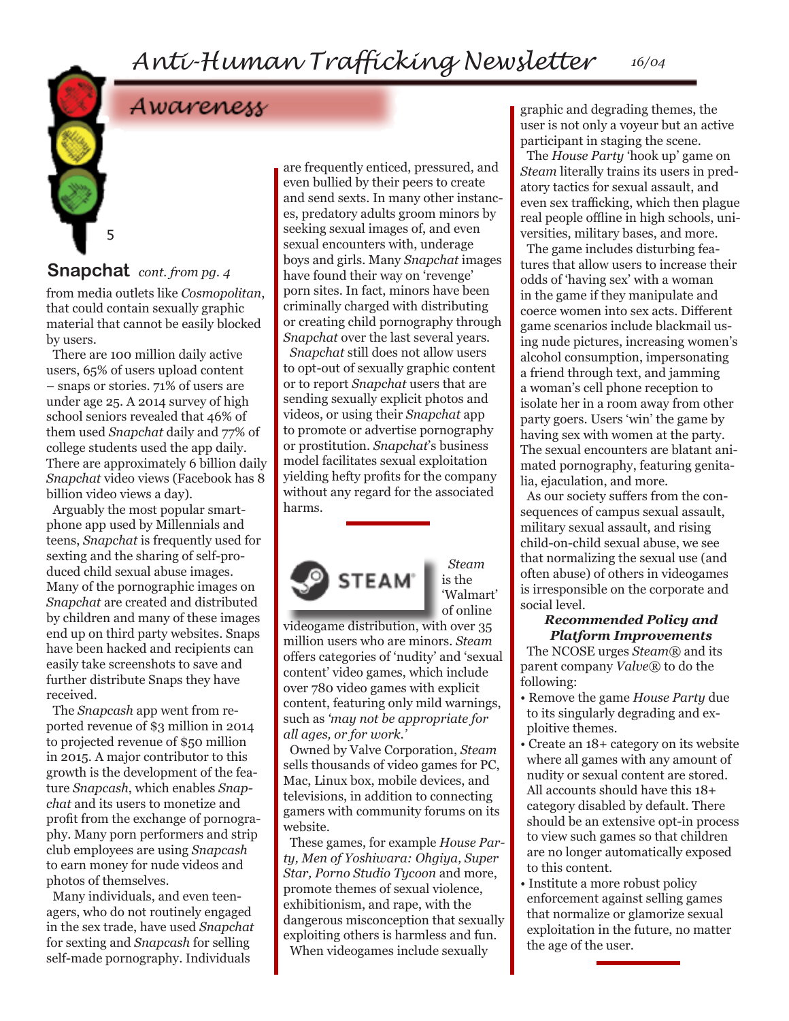## Awareness

#### **Snapchat** *cont. from pg. 4*

5

from media outlets like *Cosmopolitan*, that could contain sexually graphic material that cannot be easily blocked by users.

There are 100 million daily active users, 65% of users upload content – snaps or stories. 71% of users are under age 25. A 2014 survey of high school seniors revealed that 46% of them used *Snapchat* daily and 77% of college students used the app daily. There are approximately 6 billion daily *Snapchat* video views (Facebook has 8 billion video views a day).

Arguably the most popular smartphone app used by Millennials and teens, *Snapchat* is frequently used for sexting and the sharing of self-produced child sexual abuse images. Many of the pornographic images on *Snapchat* are created and distributed by children and many of these images end up on third party websites. Snaps have been hacked and recipients can easily take screenshots to save and further distribute Snaps they have received.

The *Snapcash* app went from reported revenue of \$3 million in 2014 to projected revenue of \$50 million in 2015. A major contributor to this growth is the development of the feature *Snapcash*, which enables *Snapchat* and its users to monetize and profit from the exchange of pornography. Many porn performers and strip club employees are using *Snapcash* to earn money for nude videos and photos of themselves.

Many individuals, and even teenagers, who do not routinely engaged in the sex trade, have used *Snapchat* for sexting and *Snapcash* for selling self-made pornography. Individuals

are frequently enticed, pressured, and even bullied by their peers to create and send sexts. In many other instances, predatory adults groom minors by seeking sexual images of, and even sexual encounters with, underage boys and girls. Many *Snapchat* images have found their way on 'revenge' porn sites. In fact, minors have been criminally charged with distributing or creating child pornography through *Snapchat* over the last several years.

*Snapchat* still does not allow users to opt-out of sexually graphic content or to report *Snapchat* users that are sending sexually explicit photos and videos, or using their *Snapchat* app to promote or advertise pornography or prostitution. *Snapchat*'s business model facilitates sexual exploitation yielding hefty profits for the company without any regard for the associated harms.



*Steam* is the 'Walmart' of online

videogame distribution, with over 35 million users who are minors. *Steam* offers categories of 'nudity' and 'sexual content' video games, which include over 780 video games with explicit content, featuring only mild warnings, such as *'may not be appropriate for all ages, or for work.'* 

Owned by Valve Corporation, *Steam* sells thousands of video games for PC, Mac, Linux box, mobile devices, and televisions, in addition to connecting gamers with community forums on its website.

These games, for example *House Party, Men of Yoshiwara: Ohgiya, Super Star, Porno Studio Tycoon* and more, promote themes of sexual violence, exhibitionism, and rape, with the dangerous misconception that sexually exploiting others is harmless and fun. When videogames include sexually

graphic and degrading themes, the user is not only a voyeur but an active participant in staging the scene.

The *House Party* 'hook up' game on *Steam* literally trains its users in predatory tactics for sexual assault, and even sex trafficking, which then plague real people offline in high schools, universities, military bases, and more.

The game includes disturbing features that allow users to increase their odds of 'having sex' with a woman in the game if they manipulate and coerce women into sex acts. Different game scenarios include blackmail using nude pictures, increasing women's alcohol consumption, impersonating a friend through text, and jamming a woman's cell phone reception to isolate her in a room away from other party goers. Users 'win' the game by having sex with women at the party. The sexual encounters are blatant animated pornography, featuring genitalia, ejaculation, and more.

As our society suffers from the consequences of campus sexual assault, military sexual assault, and rising child-on-child sexual abuse, we see that normalizing the sexual use (and often abuse) of others in videogames is irresponsible on the corporate and social level.

#### *Recommended Policy and Platform Improvements*

The NCOSE urges *Steam®* and its parent company *Valve®* to do the following:

- Remove the game *House Party* due to its singularly degrading and exploitive themes.
- Create an 18+ category on its website where all games with any amount of nudity or sexual content are stored. All accounts should have this 18+ category disabled by default. There should be an extensive opt-in process to view such games so that children are no longer automatically exposed to this content.
- Institute a more robust policy enforcement against selling games that normalize or glamorize sexual exploitation in the future, no matter the age of the user.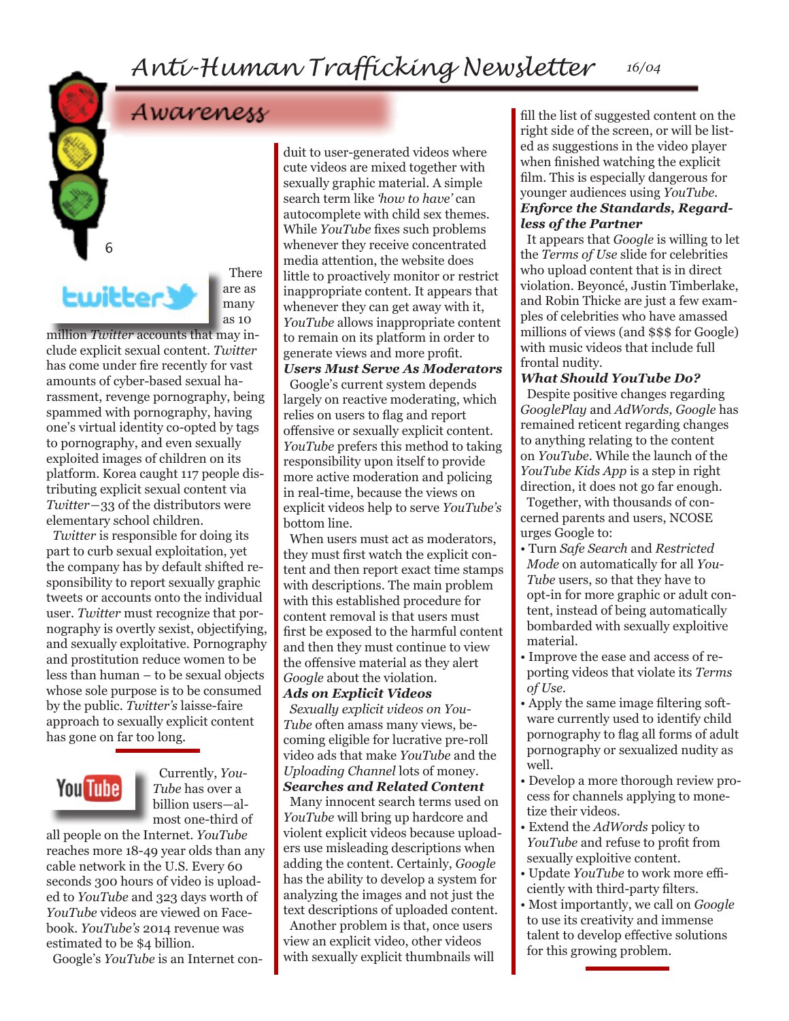

6

**There** are as many as 10

million *Twitter* accounts that may include explicit sexual content. *Twitter*  has come under fire recently for vast amounts of cyber-based sexual harassment, revenge pornography, being spammed with pornography, having one's virtual identity co-opted by tags to pornography, and even sexually exploited images of children on its platform. Korea caught 117 people distributing explicit sexual content via *Twitter*―33 of the distributors were elementary school children.

*Twitter* is responsible for doing its part to curb sexual exploitation, yet the company has by default shifted responsibility to report sexually graphic tweets or accounts onto the individual user. *Twitter* must recognize that pornography is overtly sexist, objectifying, and sexually exploitative. Pornography and prostitution reduce women to be less than human – to be sexual objects whose sole purpose is to be consumed by the public. *Twitter's* laisse-faire approach to sexually explicit content has gone on far too long.



Currently, *You-Tube* has over a billion users—almost one-third of

all people on the Internet. *YouTube* reaches more 18-49 year olds than any cable network in the U.S. Every 60 seconds 300 hours of video is uploaded to *YouTube* and 323 days worth of *YouTube* videos are viewed on Facebook. *YouTube's* 2014 revenue was estimated to be \$4 billion.

Google's *YouTube* is an Internet con-

duit to user-generated videos where cute videos are mixed together with sexually graphic material. A simple search term like *'how to have'* can autocomplete with child sex themes. While *YouTube* fixes such problems whenever they receive concentrated media attention, the website does little to proactively monitor or restrict inappropriate content. It appears that whenever they can get away with it, *YouTube* allows inappropriate content to remain on its platform in order to generate views and more profit.

*Users Must Serve As Moderators* Google's current system depends largely on reactive moderating, which relies on users to flag and report offensive or sexually explicit content. *YouTube* prefers this method to taking responsibility upon itself to provide more active moderation and policing in real-time, because the views on explicit videos help to serve *YouTube's*  bottom line.

When users must act as moderators, they must first watch the explicit content and then report exact time stamps with descriptions. The main problem with this established procedure for content removal is that users must first be exposed to the harmful content and then they must continue to view the offensive material as they alert *Google* about the violation.

#### *Ads on Explicit Videos*

*Sexually explicit videos on You-Tube* often amass many views, becoming eligible for lucrative pre-roll video ads that make *YouTube* and the *Uploading Channel* lots of money. *Searches and Related Content*

Many innocent search terms used on *YouTube* will bring up hardcore and violent explicit videos because uploaders use misleading descriptions when adding the content. Certainly, *Google* has the ability to develop a system for analyzing the images and not just the text descriptions of uploaded content. Another problem is that, once users

view an explicit video, other videos with sexually explicit thumbnails will fill the list of suggested content on the right side of the screen, or will be listed as suggestions in the video player when finished watching the explicit film. This is especially dangerous for younger audiences using *YouTube.*

#### *Enforce the Standards, Regardless of the Partner*

It appears that *Google* is willing to let the *Terms of Use* slide for celebrities who upload content that is in direct violation. Beyoncé, Justin Timberlake, and Robin Thicke are just a few examples of celebrities who have amassed millions of views (and \$\$\$ for Google) with music videos that include full frontal nudity.

#### *What Should YouTube Do?*

Despite positive changes regarding *GooglePlay* and *AdWords, Google* has remained reticent regarding changes to anything relating to the content on *YouTube*. While the launch of the *YouTube Kids App* is a step in right direction, it does not go far enough.

Together, with thousands of concerned parents and users, NCOSE urges Google to:

- Turn *Safe Search* and *Restricted Mode* on automatically for all *You-Tube* users, so that they have to opt-in for more graphic or adult content, instead of being automatically bombarded with sexually exploitive material.
- Improve the ease and access of reporting videos that violate its *Terms of Use.*
- Apply the same image filtering software currently used to identify child pornography to flag all forms of adult pornography or sexualized nudity as well.
- Develop a more thorough review process for channels applying to monetize their videos.
- Extend the *AdWords* policy to *YouTube* and refuse to profit from sexually exploitive content.
- Update *YouTube* to work more efficiently with third-party filters.
- Most importantly, we call on *Google* to use its creativity and immense talent to develop effective solutions for this growing problem.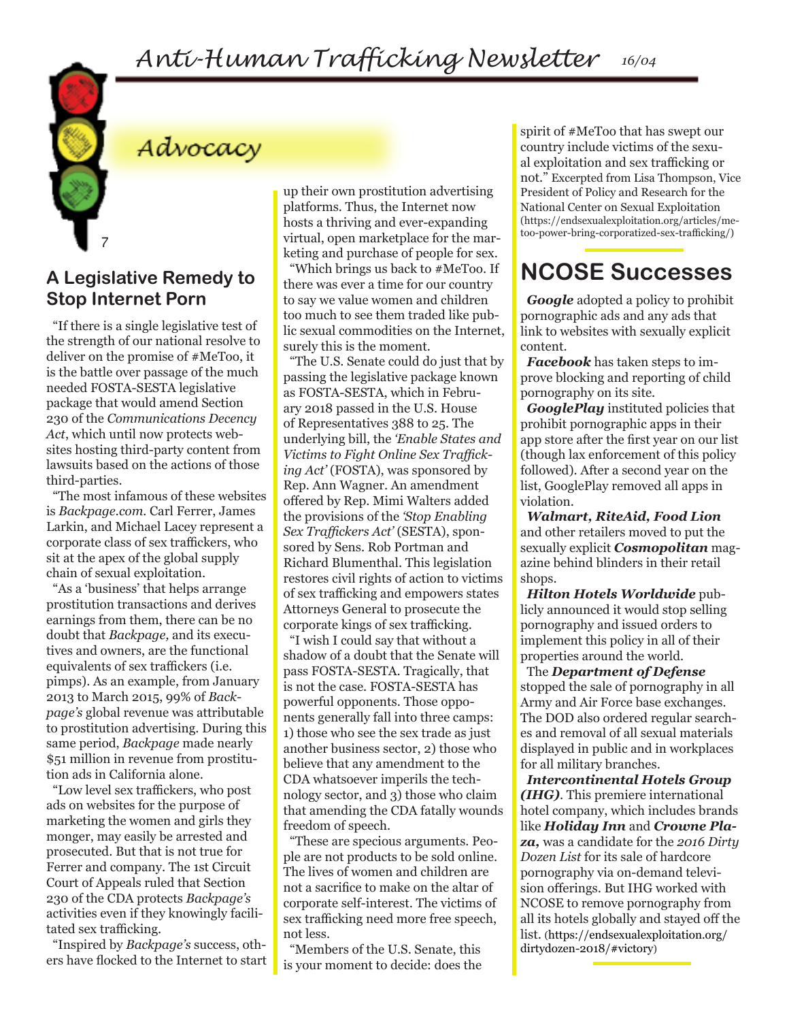

## Advocacy

**A Legislative Remedy to Stop Internet Porn**

"If there is a single legislative test of the strength of our national resolve to deliver on the promise of #MeToo, it is the battle over passage of the much needed FOSTA-SESTA legislative package that would amend Section 230 of the *Communications Decency Act*, which until now protects websites hosting third-party content from lawsuits based on the actions of those third-parties.

"The most infamous of these websites is *Backpage.com.* Carl Ferrer, James Larkin, and Michael Lacey represent a corporate class of sex traffickers, who sit at the apex of the global supply chain of sexual exploitation.

"As a 'business' that helps arrange prostitution transactions and derives earnings from them, there can be no doubt that *Backpage,* and its executives and owners, are the functional equivalents of sex traffickers (i.e. pimps). As an example, from January 2013 to March 2015, 99% of *Backpage's* global revenue was attributable to prostitution advertising. During this same period, *Backpage* made nearly \$51 million in revenue from prostitution ads in California alone.

"Low level sex traffickers, who post ads on websites for the purpose of marketing the women and girls they monger, may easily be arrested and prosecuted. But that is not true for Ferrer and company. The 1st Circuit Court of Appeals ruled that Section 230 of the CDA protects *Backpage's*  activities even if they knowingly facilitated sex trafficking.

"Inspired by *Backpage's* success, others have flocked to the Internet to start

up their own prostitution advertising platforms. Thus, the Internet now hosts a thriving and ever-expanding virtual, open marketplace for the marketing and purchase of people for sex.

"Which brings us back to #MeToo. If there was ever a time for our country to say we value women and children too much to see them traded like public sexual commodities on the Internet, surely this is the moment.

"The U.S. Senate could do just that by passing the legislative package known as FOSTA-SESTA, which in February 2018 passed in the U.S. House of Representatives 388 to 25. The underlying bill, the *'Enable States and Victims to Fight Online Sex Trafficking Act'* (FOSTA), was sponsored by Rep. Ann Wagner. An amendment offered by Rep. Mimi Walters added the provisions of the *'Stop Enabling Sex Traffickers Act'* (SESTA), sponsored by Sens. Rob Portman and Richard Blumenthal. This legislation restores civil rights of action to victims of sex trafficking and empowers states Attorneys General to prosecute the corporate kings of sex trafficking.

"I wish I could say that without a shadow of a doubt that the Senate will pass FOSTA-SESTA. Tragically, that is not the case. FOSTA-SESTA has powerful opponents. Those opponents generally fall into three camps: 1) those who see the sex trade as just another business sector, 2) those who believe that any amendment to the CDA whatsoever imperils the technology sector, and 3) those who claim that amending the CDA fatally wounds freedom of speech.

"These are specious arguments. People are not products to be sold online. The lives of women and children are not a sacrifice to make on the altar of corporate self-interest. The victims of sex trafficking need more free speech, not less.

"Members of the U.S. Senate, this is your moment to decide: does the spirit of #MeToo that has swept our country include victims of the sexual exploitation and sex trafficking or not." Excerpted from Lisa Thompson, Vice President of Policy and Research for the National Center on Sexual Exploitation (https://endsexualexploitation.org/articles/metoo-power-bring-corporatized-sex-trafficking/)

## **NCOSE Successes**

*Google* adopted a policy to prohibit pornographic ads and any ads that link to websites with sexually explicit content.

*Facebook* has taken steps to improve blocking and reporting of child pornography on its site.

*GooglePlay* instituted policies that prohibit pornographic apps in their app store after the first year on our list (though lax enforcement of this policy followed). After a second year on the list, GooglePlay removed all apps in violation.

*Walmart, RiteAid, Food Lion* and other retailers moved to put the sexually explicit *Cosmopolitan* magazine behind blinders in their retail shops.

*Hilton Hotels Worldwide* publicly announced it would stop selling pornography and issued orders to implement this policy in all of their properties around the world.

The *Department of Defense* stopped the sale of pornography in all Army and Air Force base exchanges. The DOD also ordered regular searches and removal of all sexual materials displayed in public and in workplaces for all military branches.

*Intercontinental Hotels Group (IHG)*. This premiere international hotel company, which includes brands like *Holiday Inn* and *Crowne Plaza,* was a candidate for the *2016 Dirty Dozen List* for its sale of hardcore pornography via on-demand television offerings. But IHG worked with NCOSE to remove pornography from all its hotels globally and stayed off the list. (https://endsexualexploitation.org/ dirtydozen-2018/#victory)